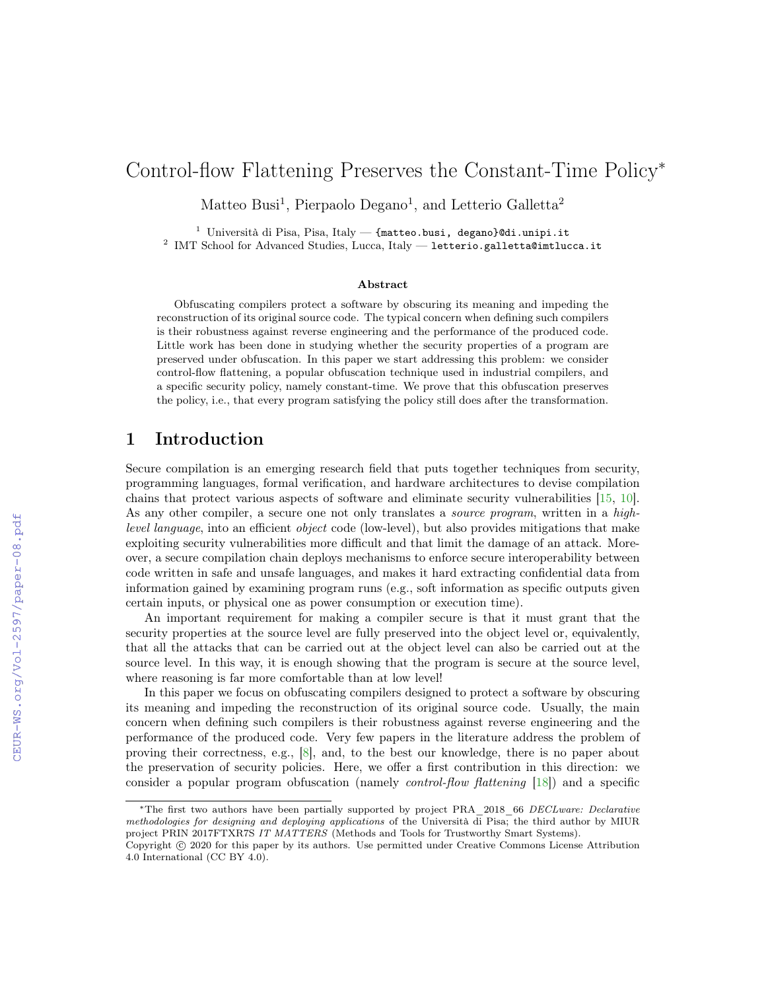# Control-flow Flattening Preserves the Constant-Time Policy<sup>∗</sup>

Matteo Busi<sup>1</sup>, Pierpaolo Degano<sup>1</sup>, and Letterio Galletta<sup>2</sup>

<sup>1</sup> Università di Pisa, Pisa, Italy — {matteo.busi, degano}@di.unipi.it

 $^2$  IMT School for Advanced Studies, Lucca, Italy — letterio.galletta@imtlucca.it

#### Abstract

Obfuscating compilers protect a software by obscuring its meaning and impeding the reconstruction of its original source code. The typical concern when defining such compilers is their robustness against reverse engineering and the performance of the produced code. Little work has been done in studying whether the security properties of a program are preserved under obfuscation. In this paper we start addressing this problem: we consider control-flow flattening, a popular obfuscation technique used in industrial compilers, and a specific security policy, namely constant-time. We prove that this obfuscation preserves the policy, i.e., that every program satisfying the policy still does after the transformation.

## 1 Introduction

Secure compilation is an emerging research field that puts together techniques from security, programming languages, formal verification, and hardware architectures to devise compilation chains that protect various aspects of software and eliminate security vulnerabilities [\[15,](#page--1-0) [10\]](#page--1-1). As any other compiler, a secure one not only translates a *source program*, written in a highlevel language, into an efficient object code (low-level), but also provides mitigations that make exploiting security vulnerabilities more difficult and that limit the damage of an attack. Moreover, a secure compilation chain deploys mechanisms to enforce secure interoperability between code written in safe and unsafe languages, and makes it hard extracting confidential data from information gained by examining program runs (e.g., soft information as specific outputs given certain inputs, or physical one as power consumption or execution time).

An important requirement for making a compiler secure is that it must grant that the security properties at the source level are fully preserved into the object level or, equivalently, that all the attacks that can be carried out at the object level can also be carried out at the source level. In this way, it is enough showing that the program is secure at the source level, where reasoning is far more comfortable than at low level!

In this paper we focus on obfuscating compilers designed to protect a software by obscuring its meaning and impeding the reconstruction of its original source code. Usually, the main concern when defining such compilers is their robustness against reverse engineering and the performance of the produced code. Very few papers in the literature address the problem of proving their correctness, e.g., [\[8\]](#page--1-2), and, to the best our knowledge, there is no paper about the preservation of security policies. Here, we offer a first contribution in this direction: we consider a popular program obfuscation (namely control-flow flattening [\[18\]](#page--1-3)) and a specific

<sup>∗</sup>The first two authors have been partially supported by project PRA\_2018\_66 DECLware: Declarative methodologies for designing and deploying applications of the Università di Pisa; the third author by MIUR project PRIN 2017FTXR7S IT MATTERS (Methods and Tools for Trustworthy Smart Systems).

Copyright © 2020 for this paper by its authors. Use permitted under Creative Commons License Attribution 4.0 International (CC BY 4.0).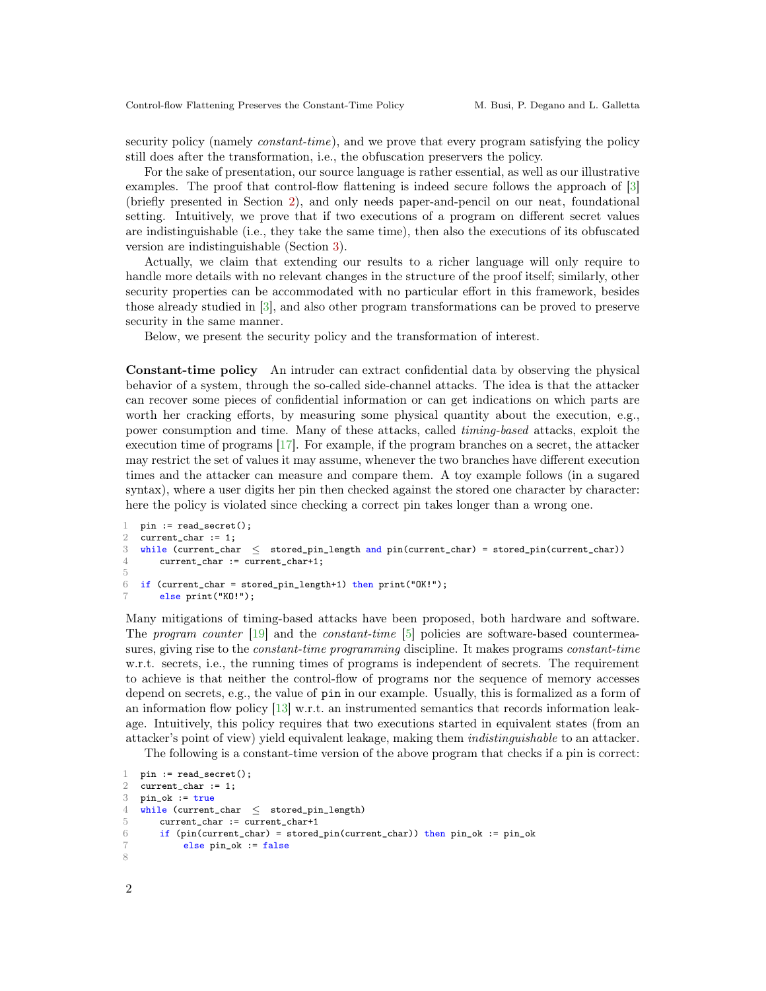security policy (namely *constant-time*), and we prove that every program satisfying the policy still does after the transformation, i.e., the obfuscation preservers the policy.

For the sake of presentation, our source language is rather essential, as well as our illustrative examples. The proof that control-flow flattening is indeed secure follows the approach of [\[3\]](#page-9-0) (briefly presented in Section [2\)](#page-2-0), and only needs paper-and-pencil on our neat, foundational setting. Intuitively, we prove that if two executions of a program on different secret values are indistinguishable (i.e., they take the same time), then also the executions of its obfuscated version are indistinguishable (Section [3\)](#page-5-0).

Actually, we claim that extending our results to a richer language will only require to handle more details with no relevant changes in the structure of the proof itself; similarly, other security properties can be accommodated with no particular effort in this framework, besides those already studied in [\[3\]](#page-9-0), and also other program transformations can be proved to preserve security in the same manner.

Below, we present the security policy and the transformation of interest.

Constant-time policy An intruder can extract confidential data by observing the physical behavior of a system, through the so-called side-channel attacks. The idea is that the attacker can recover some pieces of confidential information or can get indications on which parts are worth her cracking efforts, by measuring some physical quantity about the execution, e.g., power consumption and time. Many of these attacks, called timing-based attacks, exploit the execution time of programs [\[17\]](#page-10-0). For example, if the program branches on a secret, the attacker may restrict the set of values it may assume, whenever the two branches have different execution times and the attacker can measure and compare them. A toy example follows (in a sugared syntax), where a user digits her pin then checked against the stored one character by character: here the policy is violated since checking a correct pin takes longer than a wrong one.

```
1 pin := read\_secret();
2 current_char := 1;
3 while (current_char ≤ stored_pin_length and pin(current_char) = stored_pin(current_char))
4 current_char := current_char+1;
5
6 if (current_char = stored_pin_length+1) then print("OK!);
7 else print("KO!");
```
Many mitigations of timing-based attacks have been proposed, both hardware and software. The program counter [\[19\]](#page-10-1) and the constant-time [\[5\]](#page-9-1) policies are software-based countermeasures, giving rise to the *constant-time programming* discipline. It makes programs *constant-time* w.r.t. secrets, i.e., the running times of programs is independent of secrets. The requirement to achieve is that neither the control-flow of programs nor the sequence of memory accesses depend on secrets, e.g., the value of pin in our example. Usually, this is formalized as a form of an information flow policy [\[13\]](#page-10-2) w.r.t. an instrumented semantics that records information leakage. Intuitively, this policy requires that two executions started in equivalent states (from an attacker's point of view) yield equivalent leakage, making them indistinguishable to an attacker.

The following is a constant-time version of the above program that checks if a pin is correct:

```
1 pin := read\_secret():
2 current_char := 1;
3 pin_ok := true
4 while (current_char ≤ stored_pin_length)
5 current_char := current_char+1
6 if (pin(current_char) = stored_pin(current_char)) then pin_ok := pin_ok
7 else pin_ok := false
8
```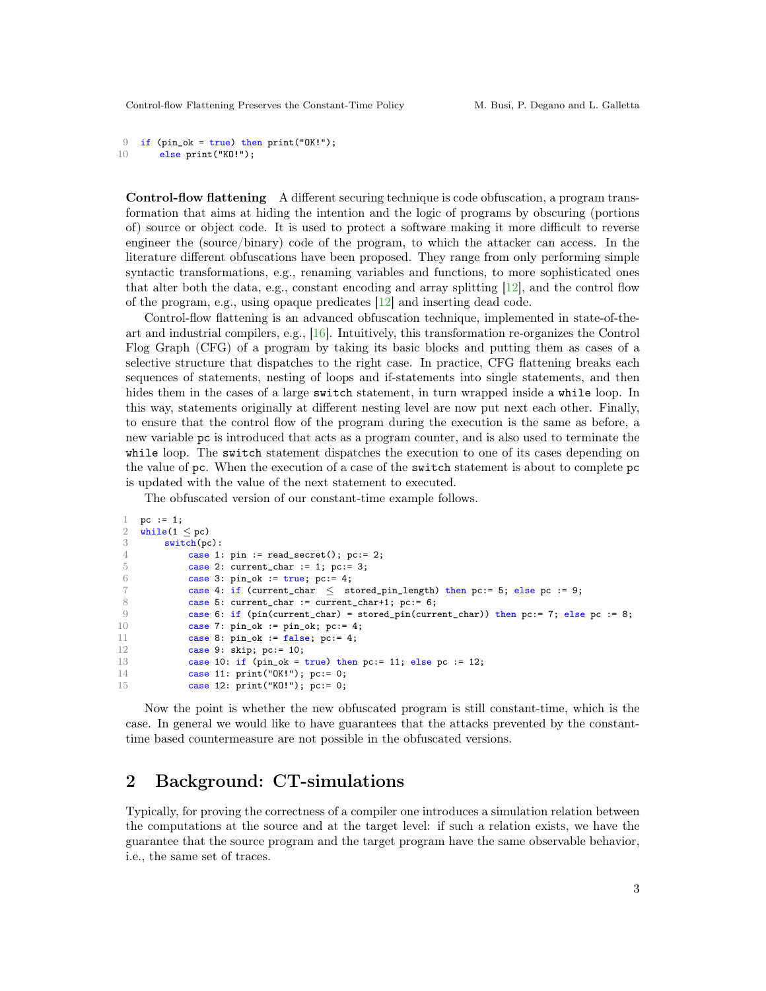```
9 if (pin_ok = true) then print("OK!);
10 else print("KO!");
```
Control-flow flattening A different securing technique is code obfuscation, a program transformation that aims at hiding the intention and the logic of programs by obscuring (portions of) source or object code. It is used to protect a software making it more difficult to reverse engineer the (source/binary) code of the program, to which the attacker can access. In the literature different obfuscations have been proposed. They range from only performing simple syntactic transformations, e.g., renaming variables and functions, to more sophisticated ones that alter both the data, e.g., constant encoding and array splitting [\[12\]](#page-10-3), and the control flow of the program, e.g., using opaque predicates [\[12\]](#page-10-3) and inserting dead code.

Control-flow flattening is an advanced obfuscation technique, implemented in state-of-theart and industrial compilers, e.g., [\[16\]](#page-10-4). Intuitively, this transformation re-organizes the Control Flog Graph (CFG) of a program by taking its basic blocks and putting them as cases of a selective structure that dispatches to the right case. In practice, CFG flattening breaks each sequences of statements, nesting of loops and if-statements into single statements, and then hides them in the cases of a large switch statement, in turn wrapped inside a while loop. In this way, statements originally at different nesting level are now put next each other. Finally, to ensure that the control flow of the program during the execution is the same as before, a new variable pc is introduced that acts as a program counter, and is also used to terminate the while loop. The switch statement dispatches the execution to one of its cases depending on the value of pc. When the execution of a case of the switch statement is about to complete pc is updated with the value of the next statement to executed.

The obfuscated version of our constant-time example follows.

```
1 pc := 1;
2 while(1 \le pc)<br>3 switch(po
\frac{3}{4} switch(pc):
              case 1: pin := read_secret(); pc:= 2;
5 case 2: current_char := 1; pc:= 3;
6 case 3: pin\_ok := true; pc := 4;
7 case 4: if (current_char ≤ stored_pin_length) then pc:= 5; else pc := 9;
8 case 5: current_char := current_char+1; pc:= 6;
9 case 6: if (pin(current_char) = stored_pin(current_char)) then pc:= 7; else pc := 8;
10 case 7: pin\_ok := pin\_ok; pc := 4;<br>11 case 8: pin\_ok := false; pc := 4;
              case 8: pin\_ok := false; pc:= 4;
12 case 9: skip; pc:= 10;<br>13 case 10: if (pin_ok = 1)13 case 10: if (pin\_ok = true) then pc:= 11; else pc := 12;<br>14 case 11: print("0K!"); pc:= 0;
              case 11: print("OK!"); pc:= 0;
15 case 12: print("KO!"); pc:= 0;
```
Now the point is whether the new obfuscated program is still constant-time, which is the case. In general we would like to have guarantees that the attacks prevented by the constanttime based countermeasure are not possible in the obfuscated versions.

### <span id="page-2-0"></span>2 Background: CT-simulations

Typically, for proving the correctness of a compiler one introduces a simulation relation between the computations at the source and at the target level: if such a relation exists, we have the guarantee that the source program and the target program have the same observable behavior, i.e., the same set of traces.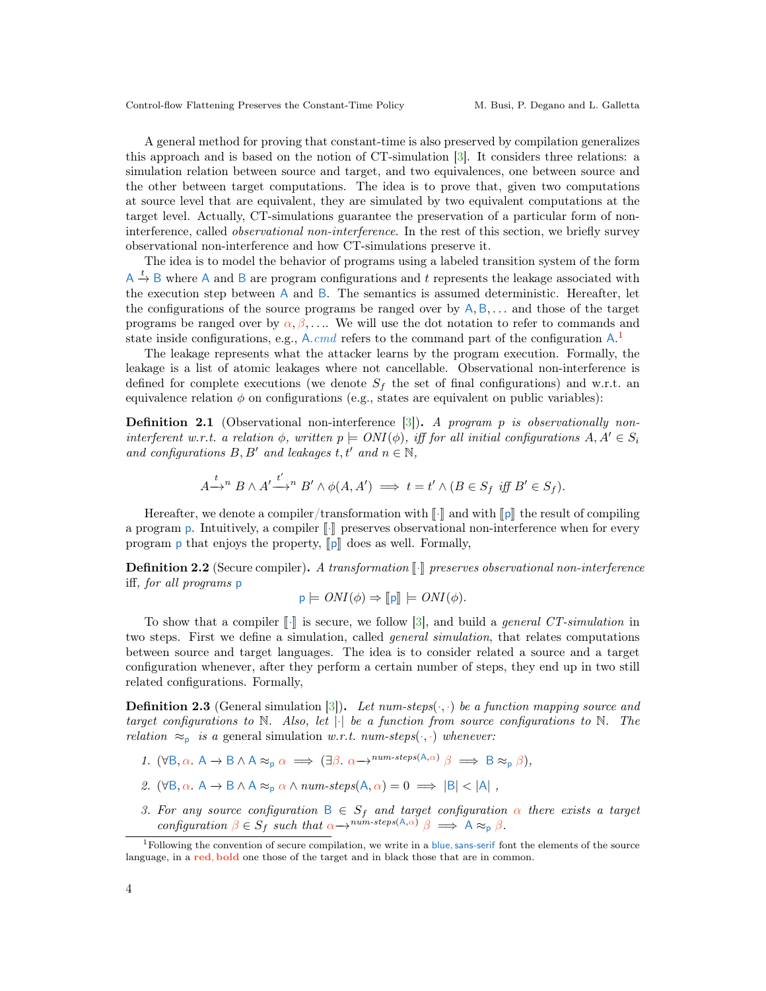A general method for proving that constant-time is also preserved by compilation generalizes this approach and is based on the notion of CT-simulation [\[3\]](#page-9-0). It considers three relations: a simulation relation between source and target, and two equivalences, one between source and the other between target computations. The idea is to prove that, given two computations at source level that are equivalent, they are simulated by two equivalent computations at the target level. Actually, CT-simulations guarantee the preservation of a particular form of noninterference, called observational non-interference. In the rest of this section, we briefly survey observational non-interference and how CT-simulations preserve it.

The idea is to model the behavior of programs using a labeled transition system of the form  $A \stackrel{t}{\rightarrow} B$  where A and B are program configurations and t represents the leakage associated with the execution step between A and B. The semantics is assumed deterministic. Hereafter, let the configurations of the source programs be ranged over by  $A, B, \ldots$  and those of the target programs be ranged over by  $\alpha, \beta, \ldots$ . We will use the dot notation to refer to commands and state inside configurations, e.g., A.cmd refers to the command part of the configuration  $A$ .<sup>[1](#page-3-0)</sup>

The leakage represents what the attacker learns by the program execution. Formally, the leakage is a list of atomic leakages where not cancellable. Observational non-interference is defined for complete executions (we denote  $S_f$  the set of final configurations) and w.r.t. an equivalence relation  $\phi$  on configurations (e.g., states are equivalent on public variables):

**Definition 2.1** (Observational non-interference  $[3]$ ). A program p is observationally noninterferent w.r.t. a relation  $\phi$ , written  $p \models ONI(\phi)$ , iff for all initial configurations  $A, A' \in S_i$ and configurations  $B, B'$  and leakages  $t, t'$  and  $n \in \mathbb{N}$ ,

$$
A \xrightarrow{t} B \wedge A' \xrightarrow{t'} B' \wedge \phi(A, A') \implies t = t' \wedge (B \in S_f \text{ iff } B' \in S_f).
$$

Hereafter, we denote a compiler/transformation with  $\llbracket \cdot \rrbracket$  and with  $\llbracket \mathfrak{p} \rrbracket$  the result of compiling a program p. Intuitively, a compiler  $\llbracket \cdot \rrbracket$  preserves observational non-interference when for every program  $\boldsymbol{p}$  that enjoys the property,  $\|\boldsymbol{p}\|$  does as well. Formally,

<span id="page-3-2"></span>**Definition 2.2** (Secure compiler). A transformation  $\llbracket \cdot \rrbracket$  preserves observational non-interference iff, for all programs p

$$
\mathsf{p} \models ONI(\phi) \Rightarrow [\![\mathsf{p}]\!] \models ONI(\phi).
$$

To show that a compiler  $\llbracket \cdot \rrbracket$  is secure, we follow [\[3\]](#page-9-0), and build a *general CT-simulation* in two steps. First we define a simulation, called general simulation, that relates computations between source and target languages. The idea is to consider related a source and a target configuration whenever, after they perform a certain number of steps, they end up in two still related configurations. Formally,

**Definition 2.3** (General simulation [\[3\]](#page-9-0)). Let num-steps( $\cdot$ ,  $\cdot$ ) be a function mapping source and target configurations to N. Also, let  $|\cdot|$  be a function from source configurations to N. The relation  $\approx_{\text{p}}$  is a general simulation w.r.t. num-steps( $\cdot$ , $\cdot$ ) whenever:

- 1.  $(\forall B, \alpha \cdot A \rightarrow B \land A \approx_{p} \alpha \implies (\exists \beta \cdot \alpha \rightarrow^{num\text{-}steps(A, \alpha)} \beta \implies B \approx_{p} \beta),$
- <span id="page-3-1"></span>2.  $(\forall B, \alpha \cdot A \rightarrow B \land A \approx_{p} \alpha \land num\text{-}steps(A, \alpha) = 0 \implies |B| < |A|$ ,
- 3. For any source configuration  $B \in S_f$  and target configuration  $\alpha$  there exists a target configuration  $\beta \in S_f$  such that  $\alpha \rightarrow^{num\text{-}steps(A,\alpha)} \beta \implies A \approx_{p} \beta$ .

<span id="page-3-0"></span> $1$ Following the convention of secure compilation, we write in a blue, sans-serif font the elements of the source language, in a red, bold one those of the target and in black those that are in common.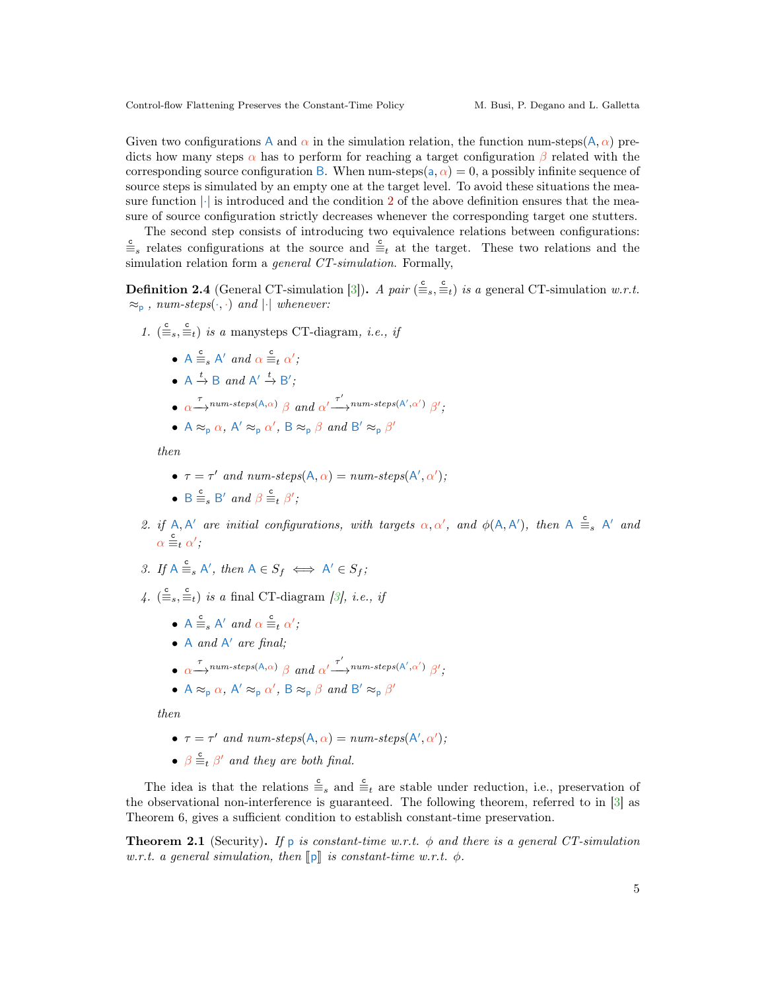Given two configurations A and  $\alpha$  in the simulation relation, the function num-steps(A,  $\alpha$ ) predicts how many steps  $\alpha$  has to perform for reaching a target configuration  $\beta$  related with the corresponding source configuration B. When num-steps(a,  $\alpha$ ) = 0, a possibly infinite sequence of source steps is simulated by an empty one at the target level. To avoid these situations the measure function  $|\cdot|$  is introduced and the condition [2](#page-3-1) of the above definition ensures that the measure of source configuration strictly decreases whenever the corresponding target one stutters.

The second step consists of introducing two equivalence relations between configurations:  $\frac{c}{m}$  relates configurations at the source and  $\frac{c}{m}$  at the target. These two relations and the simulation relation form a *general CT-simulation*. Formally,

**Definition 2.4** (General CT-simulation [\[3\]](#page-9-0)). A pair  $(\bar{\Xi}_s, \bar{\Xi}_t)$  is a general CT-simulation w.r.t.  $\approx_{\text{p}}$ , num-steps $(\cdot, \cdot)$  and  $|\cdot|$  whenever:

- 1.  $(\frac{c}{\equiv s}, \frac{c}{\equiv t})$  is a manysteps CT-diagram, *i.e.*, *if* 
	- $A \equiv_s A'$  and  $\alpha \equiv_t \alpha'$ ;
	- $A \stackrel{t}{\rightarrow} B$  and  $A' \stackrel{t}{\rightarrow} B'$ ;
	- $\bullet \ \ \alpha \longrightarrow^{r} \textit{num-steps}(\mathsf{A},\alpha) \ \ \beta \ \ and \ \ \alpha' \longrightarrow^{r'} \textit{num-steps}(\mathsf{A}',\alpha') \ \ \beta';$
	- $A \approx_{p} \alpha$ ,  $A' \approx_{p} \alpha'$ ,  $B \approx_{p} \beta$  and  $B' \approx_{p} \beta'$

then

- $\tau = \tau'$  and num-steps(A,  $\alpha$ ) = num-steps(A',  $\alpha'$ );
- $B \equiv_s B'$  and  $\beta \equiv_t \beta'$ ;
- 2. if A, A' are initial configurations, with targets  $\alpha, \alpha'$ , and  $\phi(A, A')$ , then  $A \equiv_{s} A'$  and  $\alpha \stackrel{\mathsf{c}}{=}{}_{t} \alpha'$ ;
- 3. If  $A \stackrel{c}{\equiv}_s A'$ , then  $A \in S_f \iff A' \in S_f$ ;
- 4.  $(\bar{\Xi}_s, \bar{\Xi}_t)$  is a final CT-diagram [\[3\]](#page-9-0), i.e., if
	- $A \equiv_s A'$  and  $\alpha \equiv_t \alpha'$ ;
	- $\bullet$  A and  $A'$  are final;
	- $\bullet \ \ \alpha \longrightarrow^{r} \textit{num-steps}(\mathbf{A}, \alpha) \ \ \beta \ \ and \ \ \alpha' \longrightarrow^{r'} \textit{num-steps}(\mathbf{A}', \alpha') \ \ \beta';$
	- $A \approx_{p} \alpha$ ,  $A' \approx_{p} \alpha'$ ,  $B \approx_{p} \beta$  and  $B' \approx_{p} \beta'$

then

- $\tau = \tau'$  and num-steps(A,  $\alpha$ ) = num-steps(A',  $\alpha'$ );
- $\beta \stackrel{c}{\equiv}_t \beta'$  and they are both final.

The idea is that the relations  $\frac{c}{\equiv_s}$  and  $\frac{c}{\equiv_t}$  are stable under reduction, i.e., preservation of the observational non-interference is guaranteed. The following theorem, referred to in [\[3\]](#page-9-0) as Theorem 6, gives a sufficient condition to establish constant-time preservation.

<span id="page-4-0"></span>**Theorem 2.1** (Security). If p is constant-time w.r.t.  $\phi$  and there is a general CT-simulation w.r.t. a general simulation, then  $\llbracket \mathbf{p} \rrbracket$  is constant-time w.r.t.  $\phi$ .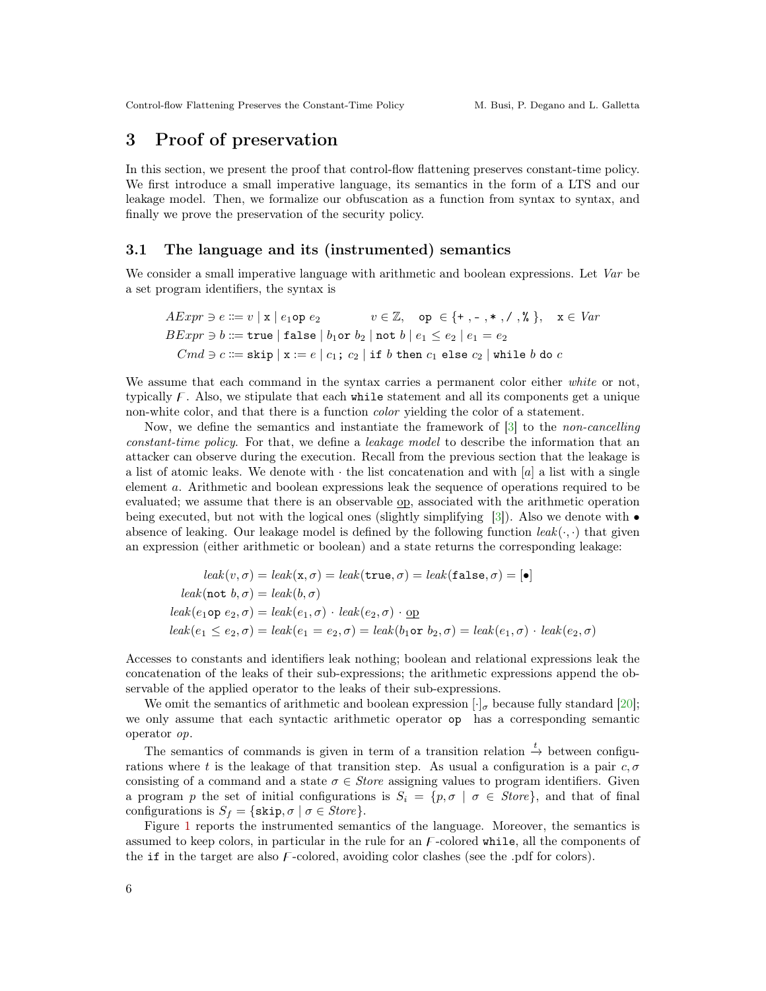### <span id="page-5-0"></span>3 Proof of preservation

In this section, we present the proof that control-flow flattening preserves constant-time policy. We first introduce a small imperative language, its semantics in the form of a LTS and our leakage model. Then, we formalize our obfuscation as a function from syntax to syntax, and finally we prove the preservation of the security policy.

#### 3.1 The language and its (instrumented) semantics

We consider a small imperative language with arithmetic and boolean expressions. Let Var be a set program identifiers, the syntax is

$$
AExpr \ni e ::= v \mid x \mid e_1 \text{op } e_2 \qquad v \in \mathbb{Z}, \quad \text{op } \in \{+, -, *, /, *, \}
$$
\n
$$
BExpr \ni b ::= \text{true} \mid \text{false} \mid b_1 \text{or } b_2 \mid \text{not } b \mid e_1 \le e_2 \mid e_1 = e_2
$$
\n
$$
Cmd \ni c ::= \text{skip} \mid x := e \mid c_1; \ c_2 \mid \text{if } b \text{ then } c_1 \text{ else } c_2 \mid \text{while } b \text{ do } c
$$

We assume that each command in the syntax carries a permanent color either white or not, typically  $\mathcal{F}$ . Also, we stipulate that each while statement and all its components get a unique non-white color, and that there is a function *color* yielding the color of a statement.

Now, we define the semantics and instantiate the framework of [\[3\]](#page-9-0) to the non-cancelling constant-time policy. For that, we define a leakage model to describe the information that an attacker can observe during the execution. Recall from the previous section that the leakage is a list of atomic leaks. We denote with  $\cdot$  the list concatenation and with [a] a list with a single element a. Arithmetic and boolean expressions leak the sequence of operations required to be evaluated; we assume that there is an observable op, associated with the arithmetic operation being executed, but not with the logical ones (slightly simplifying [\[3\]](#page-9-0)). Also we denote with  $\bullet$ absence of leaking. Our leakage model is defined by the following function  $leak(\cdot, \cdot)$  that given an expression (either arithmetic or boolean) and a state returns the corresponding leakage:

$$
leak(v, \sigma) = leak(\mathbf{x}, \sigma) = leak(\mathbf{true}, \sigma) = leak(\mathbf{false}, \sigma) = [\bullet]
$$

$$
leak(\mathtt{not}\ b, \sigma) = leak(b, \sigma)
$$

$$
leak(e_1 \mathtt{op}\ e_2, \sigma) = leak(e_1, \sigma) \cdot leak(e_2, \sigma) \cdot \mathtt{op}
$$

$$
leak(e_1 \le e_2, \sigma) = leak(e_1 = e_2, \sigma) = leak(b_1 \mathtt{or}\ b_2, \sigma) = leak(e_1, \sigma) \cdot leak(e_2, \sigma)
$$

Accesses to constants and identifiers leak nothing; boolean and relational expressions leak the concatenation of the leaks of their sub-expressions; the arithmetic expressions append the observable of the applied operator to the leaks of their sub-expressions.

We omit the semantics of arithmetic and boolean expression  $\lbrack \cdot \rbrack_{\sigma}$  because fully standard [\[20\]](#page-10-5); we only assume that each syntactic arithmetic operator op has a corresponding semantic operator op.

The semantics of commands is given in term of a transition relation  $\stackrel{t}{\rightarrow}$  between configurations where t is the leakage of that transition step. As usual a configuration is a pair  $c, \sigma$ consisting of a command and a state  $\sigma \in Store$  assigning values to program identifiers. Given a program p the set of initial configurations is  $S_i = \{p, \sigma \mid \sigma \in \text{Store}\}\,$ , and that of final configurations is  $S_f = \{\text{skip}, \sigma \mid \sigma \in \text{Store}\}.$ 

Figure [1](#page-6-0) reports the instrumented semantics of the language. Moreover, the semantics is assumed to keep colors, in particular in the rule for an  $F$ -colored while, all the components of the if in the target are also  $F$ -colored, avoiding color clashes (see the .pdf for colors).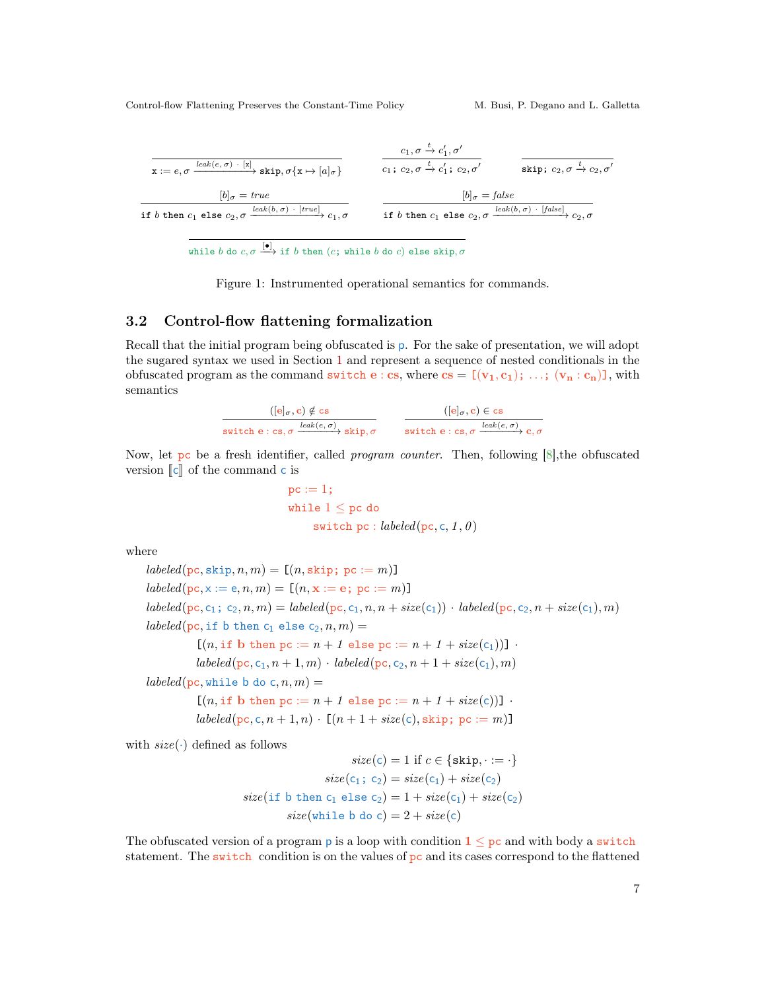

while  $b$  do  $c,\sigma \overset{[\bullet]}{\longrightarrow}$  if  $b$  then  $(c;$  while  $b$  do  $c)$  else skip,  $\sigma$ 

<span id="page-6-0"></span>Figure 1: Instrumented operational semantics for commands.

### <span id="page-6-1"></span>3.2 Control-flow flattening formalization

Recall that the initial program being obfuscated is p. For the sake of presentation, we will adopt the sugared syntax we used in Section [1](#page--1-4) and represent a sequence of nested conditionals in the obfuscated program as the command switch e : cs, where  $cs = [v_1, c_1); \ldots; (v_n : c_n]$ , with semantics

| $( {\bf e} _{\sigma}, {\bf c}) \notin {\bf c} {\bf s}$              | $( {\bf e} _{\sigma}, {\bf c}) \in \textsf{cs}$                 |
|---------------------------------------------------------------------|-----------------------------------------------------------------|
| switch e : cs, $\sigma \xrightarrow{leak(e,\sigma)}$ skip, $\sigma$ | switch e : cs, $\sigma \xrightarrow{leak(e, \sigma)} c, \sigma$ |

Now, let pc be a fresh identifier, called *program counter*. Then, following  $[8]$ , the obfuscated version  $\llbracket c \rrbracket$  of the command c is

$$
\begin{aligned} \texttt{pc} &:= 1 \texttt{;} \\ \texttt{while} & \ 1 \leq \texttt{pc} \ \texttt{do} \\ & \texttt{switch} \ \texttt{pc} : \mathit{labeled}(\texttt{pc}, \texttt{c}, 1, \theta) \end{aligned}
$$

where

 $labeled(pc, skip, n, m) = [(n, skip; pc := m)]$  $labeled(pc, x := e, n, m) = [(n, x := e; pc := m)]$  $labeled(pc, c_1; c_2, n, m) = labeled(pc, c_1, n, n + size(c_1)) \cdot labeled(pc, c_2, n + size(c_1), m)$ labeled(pc, if b then  $c_1$  else  $c_2, n, m$ ) =  $[(n, \text{if } b \text{ then } pc := n + 1 \text{ else } pc := n + 1 + size(c_1))]$ .  $labeled(p_{\text{C}}, c_1, n+1, m) \cdot \text{labeled}(p_{\text{C}}, c_2, n+1 + \text{size}(c_1), m)$  $labeled(pc, while b do c, n, m) =$  $[(n, if b then pc := n + 1 else pc := n + 1 + size(c))]$ .  $labeled(p, c, n+1, n) \cdot [(n+1+size(c), skip; pc := m)]$ 

with  $size(\cdot)$  defined as follows

 $size(c) = 1$  if  $c \in \{skip,;\} \ldots = \cdot\}$  $size(c_1; c_2) = size(c_1) + size(c_2)$  $size(i f b then c_1 else c_2) = 1 + size(c_1) + size(c_2)$  $size(\text{while }b \text{ do } c) = 2 + size(c)$ 

The obfuscated version of a program p is a loop with condition  $1 \leq pc$  and with body a switch statement. The switch condition is on the values of  $pc$  and its cases correspond to the flattened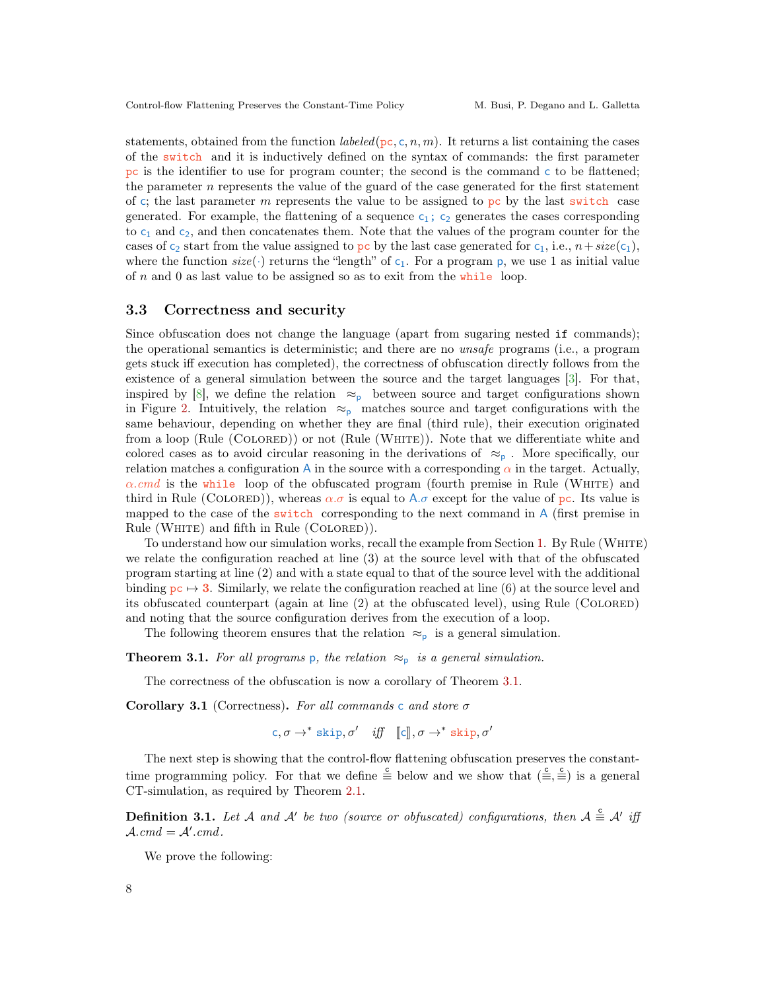statements, obtained from the function *labeled* ( $pc$ , c, n, m). It returns a list containing the cases of the switch and it is inductively defined on the syntax of commands: the first parameter pc is the identifier to use for program counter; the second is the command c to be flattened; the parameter n represents the value of the guard of the case generated for the first statement of c; the last parameter m represents the value to be assigned to pc by the last switch case generated. For example, the flattening of a sequence  $c_1$ ;  $c_2$  generates the cases corresponding to  $c_1$  and  $c_2$ , and then concatenates them. Note that the values of the program counter for the cases of c<sub>2</sub> start from the value assigned to pc by the last case generated for c<sub>1</sub>, i.e.,  $n+size(c_1)$ , where the function  $size(\cdot)$  returns the "length" of  $c_1$ . For a program p, we use 1 as initial value of n and 0 as last value to be assigned so as to exit from the while loop.

#### 3.3 Correctness and security

Since obfuscation does not change the language (apart from sugaring nested if commands); the operational semantics is deterministic; and there are no unsafe programs (i.e., a program gets stuck iff execution has completed), the correctness of obfuscation directly follows from the existence of a general simulation between the source and the target languages [\[3\]](#page-9-0). For that, inspired by [\[8\]](#page-10-6), we define the relation  $\approx_{p}$  between source and target configurations shown in Figure [2.](#page-8-0) Intuitively, the relation  $\approx_{p}$  matches source and target configurations with the same behaviour, depending on whether they are final (third rule), their execution originated from a loop (Rule (COLORED)) or not (Rule (WHITE)). Note that we differentiate white and colored cases as to avoid circular reasoning in the derivations of  $\approx_{p}$ . More specifically, our relation matches a configuration A in the source with a corresponding  $\alpha$  in the target. Actually,  $\alpha$ .cmd is the while loop of the obfuscated program (fourth premise in Rule (WHITE) and third in Rule (COLORED)), whereas  $\alpha \cdot \sigma$  is equal to  $A \cdot \sigma$  except for the value of pc. Its value is mapped to the case of the switch corresponding to the next command in A (first premise in Rule (WHITE) and fifth in Rule (COLORED)).

To understand how our simulation works, recall the example from Section [1.](#page--1-4) By Rule (White) we relate the configuration reached at line (3) at the source level with that of the obfuscated program starting at line (2) and with a state equal to that of the source level with the additional binding  $p \in \mathcal{F}$  3. Similarly, we relate the configuration reached at line (6) at the source level and its obfuscated counterpart (again at line  $(2)$  at the obfuscated level), using Rule (COLORED) and noting that the source configuration derives from the execution of a loop.

The following theorem ensures that the relation  $\approx_{p}$  is a general simulation.

<span id="page-7-0"></span>**Theorem 3.1.** For all programs p, the relation  $\approx_{p}$  is a general simulation.

The correctness of the obfuscation is now a corollary of Theorem [3.1.](#page-7-0)

Corollary 3.1 (Correctness). For all commands c and store  $\sigma$ 

c,  $\sigma \rightarrow^*$  skip,  $\sigma'$  *iff*  $[\![c]\!], \sigma \rightarrow^*$  skip,  $\sigma'$ 

The next step is showing that the control-flow flattening obfuscation preserves the constanttime programming policy. For that we define  $\stackrel{c}{\equiv}$  below and we show that  $(\stackrel{c}{\equiv}, \stackrel{c}{\equiv})$  is a general CT-simulation, as required by Theorem [2.1.](#page-4-0)

**Definition 3.1.** Let A and A' be two (source or obfuscated) configurations, then  $A \triangleq A'$  iff  $\mathcal{A}.cmd = \mathcal{A}'.cmd.$ 

We prove the following: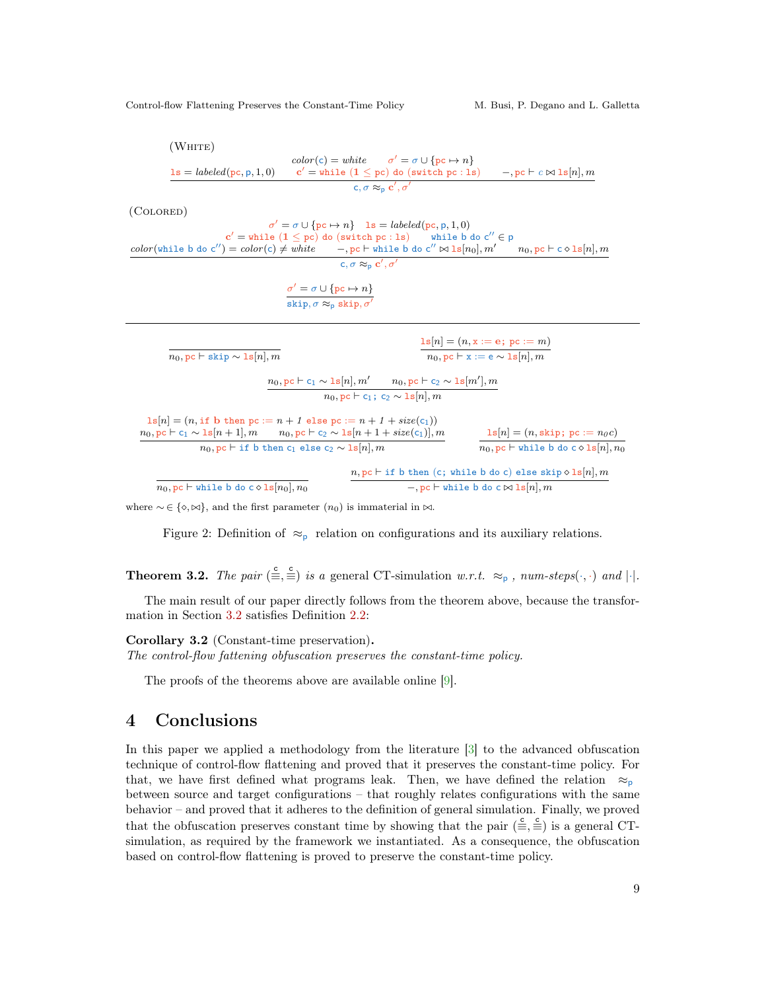

where  $\sim \in \{\diamond, \bowtie\}$ , and the first parameter  $(n_0)$  is immaterial in  $\bowtie$ .

<span id="page-8-0"></span>Figure 2: Definition of  $\approx_{\text{p}}$  relation on configurations and its auxiliary relations.

**Theorem 3.2.** The pair  $(\bar{\Xi}, \bar{\Xi})$  is a general CT-simulation w.r.t.  $\approx_{p}$ , num-steps $(\cdot, \cdot)$  and  $|\cdot|$ .

The main result of our paper directly follows from the theorem above, because the transformation in Section [3.2](#page-6-1) satisfies Definition [2.2:](#page-3-2)

Corollary 3.2 (Constant-time preservation).

The control-flow fattening obfuscation preserves the constant-time policy.

The proofs of the theorems above are available online [\[9\]](#page-10-7).

### 4 Conclusions

In this paper we applied a methodology from the literature [\[3\]](#page-9-0) to the advanced obfuscation technique of control-flow flattening and proved that it preserves the constant-time policy. For that, we have first defined what programs leak. Then, we have defined the relation  $\approx_{p}$ between source and target configurations – that roughly relates configurations with the same behavior – and proved that it adheres to the definition of general simulation. Finally, we proved that the obfuscation preserves constant time by showing that the pair  $(\equiv \frac{c}{\equiv})$  is a general CTsimulation, as required by the framework we instantiated. As a consequence, the obfuscation based on control-flow flattening is proved to preserve the constant-time policy.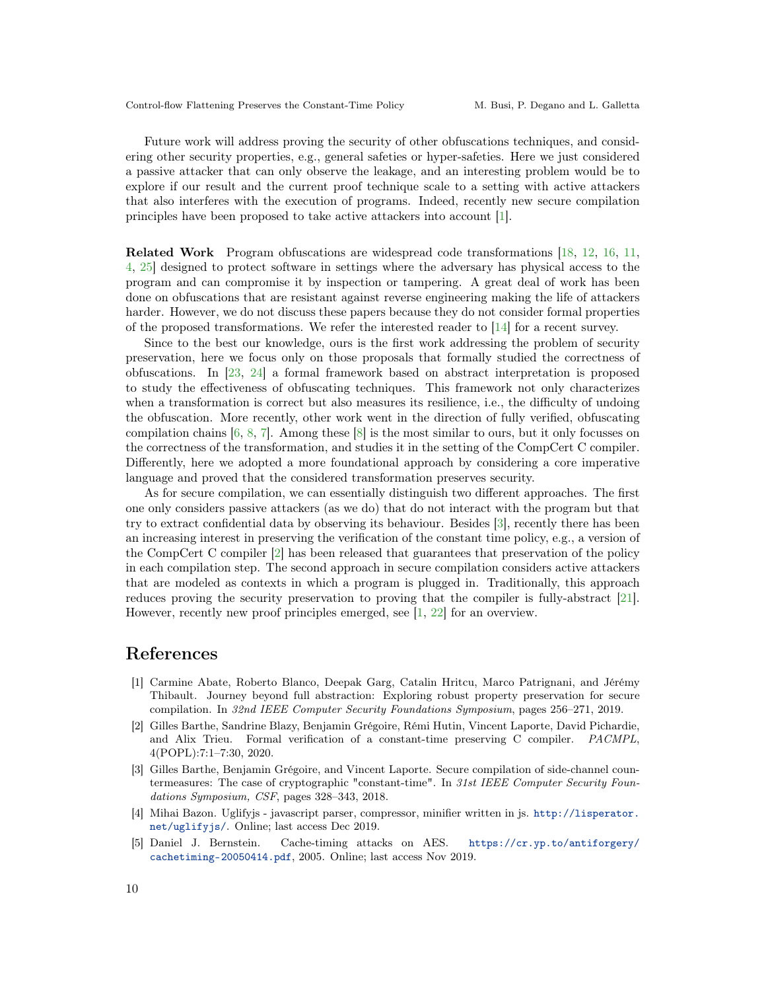Future work will address proving the security of other obfuscations techniques, and considering other security properties, e.g., general safeties or hyper-safeties. Here we just considered a passive attacker that can only observe the leakage, and an interesting problem would be to explore if our result and the current proof technique scale to a setting with active attackers that also interferes with the execution of programs. Indeed, recently new secure compilation principles have been proposed to take active attackers into account [\[1\]](#page-9-2).

Related Work Program obfuscations are widespread code transformations [\[18,](#page-10-8) [12,](#page-10-3) [16,](#page-10-4) [11,](#page-10-9) [4,](#page-9-3) [25\]](#page-10-10) designed to protect software in settings where the adversary has physical access to the program and can compromise it by inspection or tampering. A great deal of work has been done on obfuscations that are resistant against reverse engineering making the life of attackers harder. However, we do not discuss these papers because they do not consider formal properties of the proposed transformations. We refer the interested reader to [\[14\]](#page-10-11) for a recent survey.

Since to the best our knowledge, ours is the first work addressing the problem of security preservation, here we focus only on those proposals that formally studied the correctness of obfuscations. In [\[23,](#page-10-12) [24\]](#page-10-13) a formal framework based on abstract interpretation is proposed to study the effectiveness of obfuscating techniques. This framework not only characterizes when a transformation is correct but also measures its resilience, i.e., the difficulty of undoing the obfuscation. More recently, other work went in the direction of fully verified, obfuscating compilation chains [\[6,](#page-10-14) [8,](#page-10-6) [7\]](#page-10-15). Among these [\[8\]](#page-10-6) is the most similar to ours, but it only focusses on the correctness of the transformation, and studies it in the setting of the CompCert C compiler. Differently, here we adopted a more foundational approach by considering a core imperative language and proved that the considered transformation preserves security.

As for secure compilation, we can essentially distinguish two different approaches. The first one only considers passive attackers (as we do) that do not interact with the program but that try to extract confidential data by observing its behaviour. Besides [\[3\]](#page-9-0), recently there has been an increasing interest in preserving the verification of the constant time policy, e.g., a version of the CompCert C compiler [\[2\]](#page-9-4) has been released that guarantees that preservation of the policy in each compilation step. The second approach in secure compilation considers active attackers that are modeled as contexts in which a program is plugged in. Traditionally, this approach reduces proving the security preservation to proving that the compiler is fully-abstract [\[21\]](#page-10-16). However, recently new proof principles emerged, see [\[1,](#page-9-2) [22\]](#page-10-17) for an overview.

### References

- <span id="page-9-2"></span>[1] Carmine Abate, Roberto Blanco, Deepak Garg, Catalin Hritcu, Marco Patrignani, and Jérémy Thibault. Journey beyond full abstraction: Exploring robust property preservation for secure compilation. In 32nd IEEE Computer Security Foundations Symposium, pages 256–271, 2019.
- <span id="page-9-4"></span>[2] Gilles Barthe, Sandrine Blazy, Benjamin Grégoire, Rémi Hutin, Vincent Laporte, David Pichardie, and Alix Trieu. Formal verification of a constant-time preserving C compiler. PACMPL, 4(POPL):7:1–7:30, 2020.
- <span id="page-9-0"></span>[3] Gilles Barthe, Benjamin Grégoire, and Vincent Laporte. Secure compilation of side-channel countermeasures: The case of cryptographic "constant-time". In 31st IEEE Computer Security Foundations Symposium, CSF, pages 328–343, 2018.
- <span id="page-9-3"></span>[4] Mihai Bazon. Uglifyjs - javascript parser, compressor, minifier written in js. [http://lisperator.](http://lisperator.net/uglifyjs/) [net/uglifyjs/](http://lisperator.net/uglifyjs/). Online; last access Dec 2019.
- <span id="page-9-1"></span>[5] Daniel J. Bernstein. Cache-timing attacks on AES. [https://cr.yp.to/antiforgery/](https://cr.yp.to/antiforgery/cachetiming-20050414.pdf) [cachetiming-20050414.pdf](https://cr.yp.to/antiforgery/cachetiming-20050414.pdf), 2005. Online; last access Nov 2019.